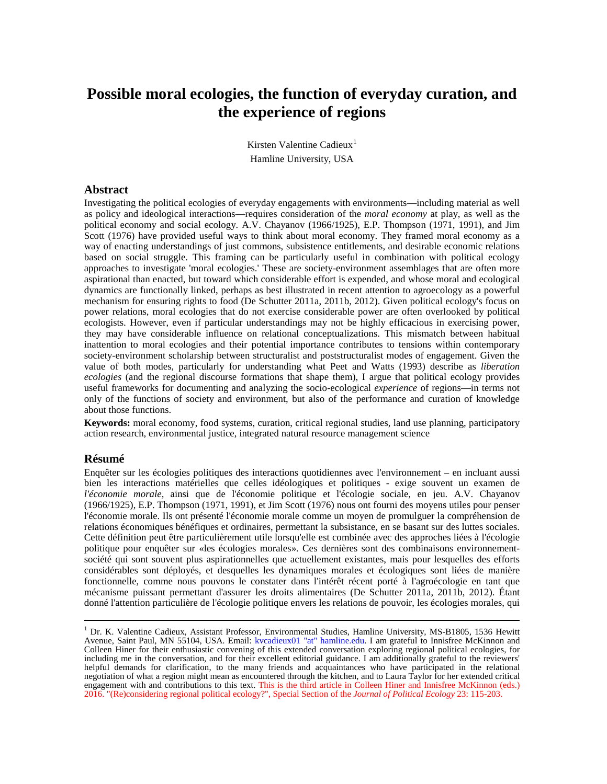# **Possible moral ecologies, the function of everyday curation, and the experience of regions**

Kirsten Valentine Cadieux<sup>[1](#page-0-0)</sup> Hamline University, USA

## **Abstract**

Investigating the political ecologies of everyday engagements with environments—including material as well as policy and ideological interactions—requires consideration of the *moral economy* at play, as well as the political economy and social ecology. A.V. Chayanov (1966/1925), E.P. Thompson (1971, 1991), and Jim Scott (1976) have provided useful ways to think about moral economy. They framed moral economy as a way of enacting understandings of just commons, subsistence entitlements, and desirable economic relations based on social struggle. This framing can be particularly useful in combination with political ecology approaches to investigate 'moral ecologies.' These are society-environment assemblages that are often more aspirational than enacted, but toward which considerable effort is expended, and whose moral and ecological dynamics are functionally linked, perhaps as best illustrated in recent attention to agroecology as a powerful mechanism for ensuring rights to food (De Schutter 2011a, 2011b, 2012). Given political ecology's focus on power relations, moral ecologies that do not exercise considerable power are often overlooked by political ecologists. However, even if particular understandings may not be highly efficacious in exercising power, they may have considerable influence on relational conceptualizations. This mismatch between habitual inattention to moral ecologies and their potential importance contributes to tensions within contemporary society-environment scholarship between structuralist and poststructuralist modes of engagement. Given the value of both modes, particularly for understanding what Peet and Watts (1993) describe as *liberation ecologies* (and the regional discourse formations that shape them), I argue that political ecology provides useful frameworks for documenting and analyzing the socio-ecological *experience* of regions—in terms not only of the functions of society and environment, but also of the performance and curation of knowledge about those functions.

**Keywords:** moral economy, food systems, curation, critical regional studies, land use planning, participatory action research, environmental justice, integrated natural resource management science

#### **Résumé**

Enquêter sur les écologies politiques des interactions quotidiennes avec l'environnement – en incluant aussi bien les interactions matérielles que celles idéologiques et politiques - exige souvent un examen de *l'économie morale,* ainsi que de l'économie politique et l'écologie sociale, en jeu. A.V. Chayanov (1966/1925), E.P. Thompson (1971, 1991), et Jim Scott (1976) nous ont fourni des moyens utiles pour penser l'économie morale. Ils ont présenté l'économie morale comme un moyen de promulguer la compréhension de relations économiques bénéfiques et ordinaires, permettant la subsistance, en se basant sur des luttes sociales. Cette définition peut être particulièrement utile lorsqu'elle est combinée avec des approches liées à l'écologie politique pour enquêter sur «les écologies morales». Ces dernières sont des combinaisons environnementsociété qui sont souvent plus aspirationnelles que actuellement existantes, mais pour lesquelles des efforts considérables sont déployés, et desquelles les dynamiques morales et écologiques sont liées de manière fonctionnelle, comme nous pouvons le constater dans l'intérêt récent porté à l'agroécologie en tant que mécanisme puissant permettant d'assurer les droits alimentaires (De Schutter 2011a, 2011b, 2012). Étant donné l'attention particulière de l'écologie politique envers les relations de pouvoir, les écologies morales, qui

<span id="page-0-0"></span><sup>&</sup>lt;sup>1</sup> Dr. K. Valentine Cadieux, Assistant Professor, Environmental Studies, Hamline University, MS-B1805, 1536 Hewitt Avenue, Saint Paul, MN 55104, USA. Email: kvcadieux01 "at" hamline.edu. I am grateful to Innisfree McKinnon and Colleen Hiner for their enthusiastic convening of this extended conversation exploring regional political ecologies, for including me in the conversation, and for their excellent editorial guidance. I am additionally grateful to the reviewers' helpful demands for clarification, to the many friends and acquaintances who have participated in the relational negotiation of what a region might mean as encountered through the kitchen, and to Laura Taylor for her extended critical engagement with and contributions to this text. This is the third article in Colleen Hiner and Innisfree McKinnon (eds.) 2016. "(Re)considering regional political ecology?", Special Section of the *Journal of Political Ecology* 23: 115-203.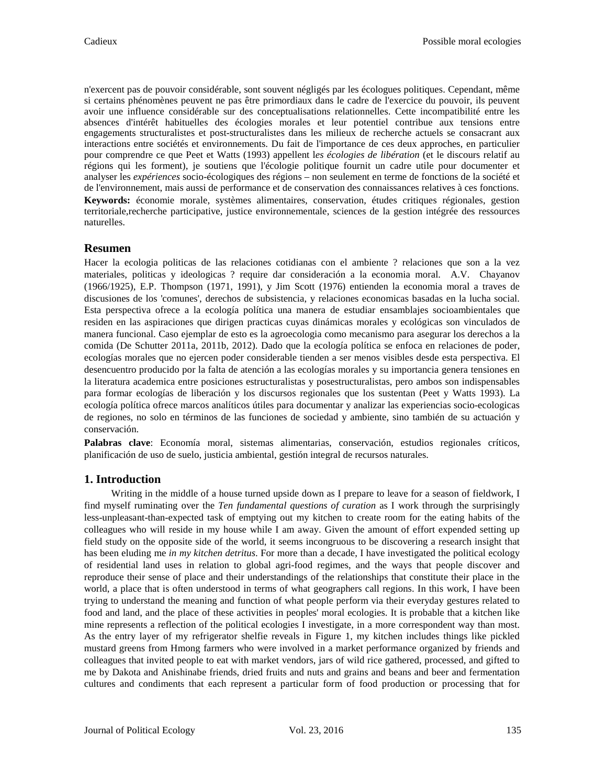n'exercent pas de pouvoir considérable, sont souvent négligés par les écologues politiques. Cependant, même si certains phénomènes peuvent ne pas être primordiaux dans le cadre de l'exercice du pouvoir, ils peuvent avoir une influence considérable sur des conceptualisations relationnelles. Cette incompatibilité entre les absences d'intérêt habituelles des écologies morales et leur potentiel contribue aux tensions entre engagements structuralistes et post-structuralistes dans les milieux de recherche actuels se consacrant aux interactions entre sociétés et environnements. Du fait de l'importance de ces deux approches, en particulier pour comprendre ce que Peet et Watts (1993) appellent l*es écologies de libération* (et le discours relatif au régions qui les forment), je soutiens que l'écologie politique fournit un cadre utile pour documenter et analyser les *expériences* socio-écologiques des régions – non seulement en terme de fonctions de la société et de l'environnement, mais aussi de performance et de conservation des connaissances relatives à ces fonctions. **Keywords:** économie morale, systèmes alimentaires, conservation, études critiques régionales, gestion territoriale,recherche participative, justice environnementale, sciences de la gestion intégrée des ressources naturelles.

## **Resumen**

Hacer la ecologia politicas de las relaciones cotidianas con el ambiente ? relaciones que son a la vez materiales, politicas y ideologicas ? require dar consideración a la economia moral. A.V. Chayanov (1966/1925), E.P. Thompson (1971, 1991), y Jim Scott (1976) entienden la economia moral a traves de discusiones de los 'comunes', derechos de subsistencia, y relaciones economicas basadas en la lucha social. Esta perspectiva ofrece a la ecología política una manera de estudiar ensamblajes socioambientales que residen en las aspiraciones que dirigen practicas cuyas dinámicas morales y ecológicas son vinculados de manera funcional. Caso ejemplar de esto es la agroecologia como mecanismo para asegurar los derechos a la comida (De Schutter 2011a, 2011b, 2012). Dado que la ecología política se enfoca en relaciones de poder, ecologías morales que no ejercen poder considerable tienden a ser menos visibles desde esta perspectiva. El desencuentro producido por la falta de atención a las ecologías morales y su importancia genera tensiones en la literatura academica entre posiciones estructuralistas y posestructuralistas, pero ambos son indispensables para formar ecologías de liberación y los discursos regionales que los sustentan (Peet y Watts 1993). La ecología política ofrece marcos analíticos útiles para documentar y analizar las experiencias socio-ecologicas de regiones, no solo en términos de las funciones de sociedad y ambiente, sino también de su actuación y conservación.

**Palabras clave**: Economía moral, sistemas alimentarias, conservación, estudios regionales críticos, planificación de uso de suelo, justicia ambiental, gestión integral de recursos naturales.

## **1. Introduction**

Writing in the middle of a house turned upside down as I prepare to leave for a season of fieldwork, I find myself ruminating over the *Ten fundamental questions of curation* as I work through the surprisingly less-unpleasant-than-expected task of emptying out my kitchen to create room for the eating habits of the colleagues who will reside in my house while I am away. Given the amount of effort expended setting up field study on the opposite side of the world, it seems incongruous to be discovering a research insight that has been eluding me *in my kitchen detritus*. For more than a decade, I have investigated the political ecology of residential land uses in relation to global agri-food regimes, and the ways that people discover and reproduce their sense of place and their understandings of the relationships that constitute their place in the world, a place that is often understood in terms of what geographers call regions. In this work, I have been trying to understand the meaning and function of what people perform via their everyday gestures related to food and land, and the place of these activities in peoples' moral ecologies. It is probable that a kitchen like mine represents a reflection of the political ecologies I investigate, in a more correspondent way than most. As the entry layer of my refrigerator shelfie reveals in Figure 1, my kitchen includes things like pickled mustard greens from Hmong farmers who were involved in a market performance organized by friends and colleagues that invited people to eat with market vendors, jars of wild rice gathered, processed, and gifted to me by Dakota and Anishinabe friends, dried fruits and nuts and grains and beans and beer and fermentation cultures and condiments that each represent a particular form of food production or processing that for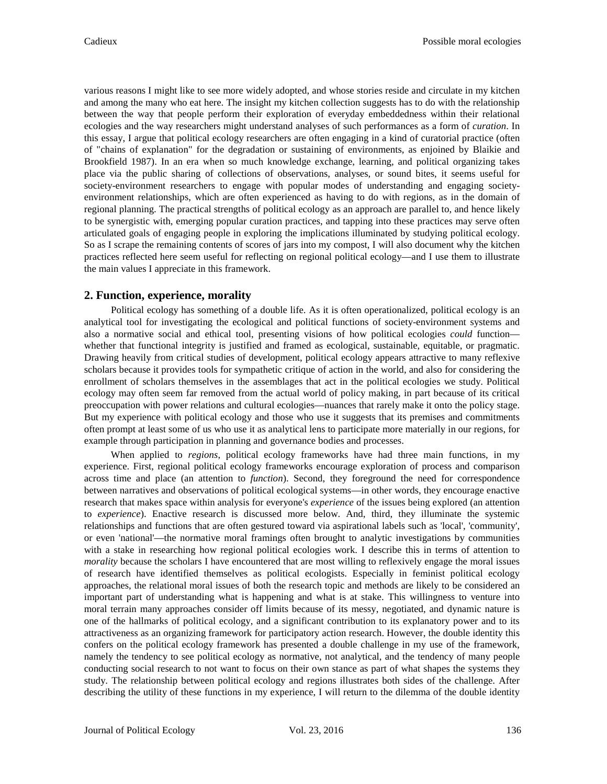various reasons I might like to see more widely adopted, and whose stories reside and circulate in my kitchen and among the many who eat here. The insight my kitchen collection suggests has to do with the relationship between the way that people perform their exploration of everyday embeddedness within their relational ecologies and the way researchers might understand analyses of such performances as a form of *curation*. In this essay, I argue that political ecology researchers are often engaging in a kind of curatorial practice (often of "chains of explanation" for the degradation or sustaining of environments, as enjoined by Blaikie and Brookfield 1987). In an era when so much knowledge exchange, learning, and political organizing takes place via the public sharing of collections of observations, analyses, or sound bites, it seems useful for society-environment researchers to engage with popular modes of understanding and engaging societyenvironment relationships, which are often experienced as having to do with regions, as in the domain of regional planning. The practical strengths of political ecology as an approach are parallel to, and hence likely to be synergistic with, emerging popular curation practices, and tapping into these practices may serve often articulated goals of engaging people in exploring the implications illuminated by studying political ecology. So as I scrape the remaining contents of scores of jars into my compost, I will also document why the kitchen practices reflected here seem useful for reflecting on regional political ecology—and I use them to illustrate the main values I appreciate in this framework.

## **2. Function, experience, morality**

Political ecology has something of a double life. As it is often operationalized, political ecology is an analytical tool for investigating the ecological and political functions of society-environment systems and also a normative social and ethical tool, presenting visions of how political ecologies *could* function whether that functional integrity is justified and framed as ecological, sustainable, equitable, or pragmatic. Drawing heavily from critical studies of development, political ecology appears attractive to many reflexive scholars because it provides tools for sympathetic critique of action in the world, and also for considering the enrollment of scholars themselves in the assemblages that act in the political ecologies we study. Political ecology may often seem far removed from the actual world of policy making, in part because of its critical preoccupation with power relations and cultural ecologies—nuances that rarely make it onto the policy stage. But my experience with political ecology and those who use it suggests that its premises and commitments often prompt at least some of us who use it as analytical lens to participate more materially in our regions, for example through participation in planning and governance bodies and processes.

When applied to *regions*, political ecology frameworks have had three main functions, in my experience. First, regional political ecology frameworks encourage exploration of process and comparison across time and place (an attention to *function*). Second, they foreground the need for correspondence between narratives and observations of political ecological systems—in other words, they encourage enactive research that makes space within analysis for everyone's *experience* of the issues being explored (an attention to *experience*). Enactive research is discussed more below. And, third, they illuminate the systemic relationships and functions that are often gestured toward via aspirational labels such as 'local', 'community', or even 'national'—the normative moral framings often brought to analytic investigations by communities with a stake in researching how regional political ecologies work. I describe this in terms of attention to *morality* because the scholars I have encountered that are most willing to reflexively engage the moral issues of research have identified themselves as political ecologists. Especially in feminist political ecology approaches, the relational moral issues of both the research topic and methods are likely to be considered an important part of understanding what is happening and what is at stake. This willingness to venture into moral terrain many approaches consider off limits because of its messy, negotiated, and dynamic nature is one of the hallmarks of political ecology, and a significant contribution to its explanatory power and to its attractiveness as an organizing framework for participatory action research. However, the double identity this confers on the political ecology framework has presented a double challenge in my use of the framework, namely the tendency to see political ecology as normative, not analytical, and the tendency of many people conducting social research to not want to focus on their own stance as part of what shapes the systems they study. The relationship between political ecology and regions illustrates both sides of the challenge. After describing the utility of these functions in my experience, I will return to the dilemma of the double identity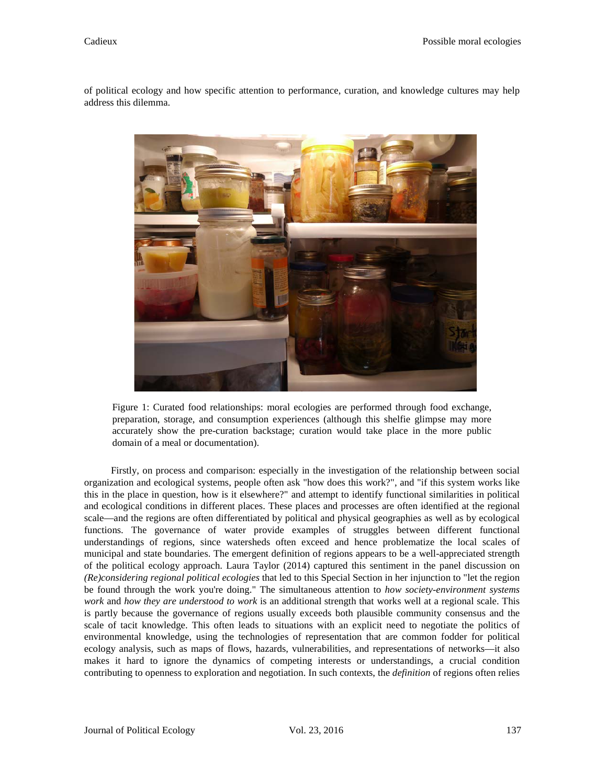of political ecology and how specific attention to performance, curation, and knowledge cultures may help address this dilemma.



Figure 1: Curated food relationships: moral ecologies are performed through food exchange, preparation, storage, and consumption experiences (although this shelfie glimpse may more accurately show the pre-curation backstage; curation would take place in the more public domain of a meal or documentation).

Firstly, on process and comparison: especially in the investigation of the relationship between social organization and ecological systems, people often ask "how does this work?", and "if this system works like this in the place in question, how is it elsewhere?" and attempt to identify functional similarities in political and ecological conditions in different places. These places and processes are often identified at the regional scale—and the regions are often differentiated by political and physical geographies as well as by ecological functions. The governance of water provide examples of struggles between different functional understandings of regions, since watersheds often exceed and hence problematize the local scales of municipal and state boundaries. The emergent definition of regions appears to be a well-appreciated strength of the political ecology approach. Laura Taylor (2014) captured this sentiment in the panel discussion on *(Re)considering regional political ecologies* that led to this Special Section in her injunction to "let the region be found through the work you're doing." The simultaneous attention to *how society-environment systems work* and *how they are understood to work* is an additional strength that works well at a regional scale. This is partly because the governance of regions usually exceeds both plausible community consensus and the scale of tacit knowledge. This often leads to situations with an explicit need to negotiate the politics of environmental knowledge, using the technologies of representation that are common fodder for political ecology analysis, such as maps of flows, hazards, vulnerabilities, and representations of networks—it also makes it hard to ignore the dynamics of competing interests or understandings, a crucial condition contributing to openness to exploration and negotiation. In such contexts, the *definition* of regions often relies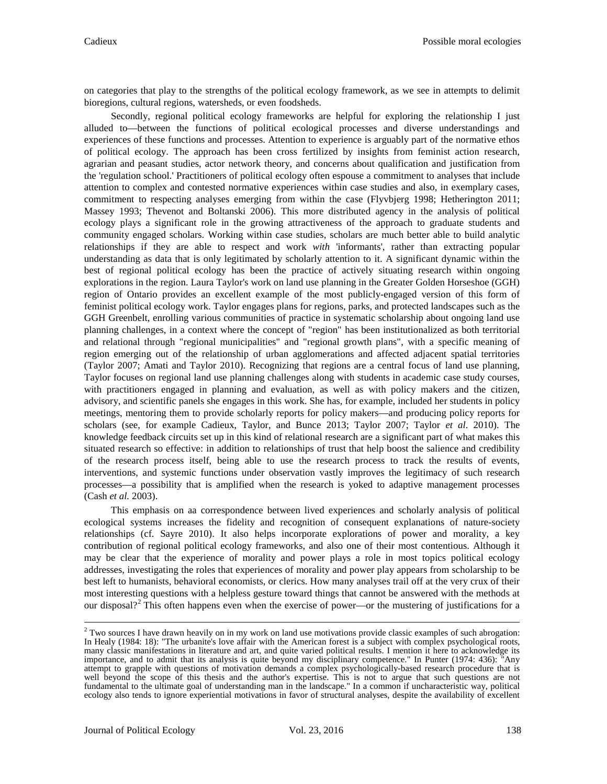on categories that play to the strengths of the political ecology framework, as we see in attempts to delimit bioregions, cultural regions, watersheds, or even foodsheds.

Secondly, regional political ecology frameworks are helpful for exploring the relationship I just alluded to—between the functions of political ecological processes and diverse understandings and experiences of these functions and processes. Attention to experience is arguably part of the normative ethos of political ecology. The approach has been cross fertilized by insights from feminist action research, agrarian and peasant studies, actor network theory, and concerns about qualification and justification from the 'regulation school.' Practitioners of political ecology often espouse a commitment to analyses that include attention to complex and contested normative experiences within case studies and also, in exemplary cases, commitment to respecting analyses emerging from within the case (Flyvbjerg 1998; Hetherington 2011; Massey 1993; Thevenot and Boltanski 2006). This more distributed agency in the analysis of political ecology plays a significant role in the growing attractiveness of the approach to graduate students and community engaged scholars. Working within case studies, scholars are much better able to build analytic relationships if they are able to respect and work *with* 'informants', rather than extracting popular understanding as data that is only legitimated by scholarly attention to it. A significant dynamic within the best of regional political ecology has been the practice of actively situating research within ongoing explorations in the region. Laura Taylor's work on land use planning in the Greater Golden Horseshoe (GGH) region of Ontario provides an excellent example of the most publicly-engaged version of this form of feminist political ecology work. Taylor engages plans for regions, parks, and protected landscapes such as the GGH Greenbelt, enrolling various communities of practice in systematic scholarship about ongoing land use planning challenges, in a context where the concept of "region" has been institutionalized as both territorial and relational through "regional municipalities" and "regional growth plans", with a specific meaning of region emerging out of the relationship of urban agglomerations and affected adjacent spatial territories (Taylor 2007; Amati and Taylor 2010). Recognizing that regions are a central focus of land use planning, Taylor focuses on regional land use planning challenges along with students in academic case study courses, with practitioners engaged in planning and evaluation, as well as with policy makers and the citizen, advisory, and scientific panels she engages in this work. She has, for example, included her students in policy meetings, mentoring them to provide scholarly reports for policy makers—and producing policy reports for scholars (see, for example Cadieux, Taylor, and Bunce 2013; Taylor 2007; Taylor *et al*. 2010). The knowledge feedback circuits set up in this kind of relational research are a significant part of what makes this situated research so effective: in addition to relationships of trust that help boost the salience and credibility of the research process itself, being able to use the research process to track the results of events, interventions, and systemic functions under observation vastly improves the legitimacy of such research processes—a possibility that is amplified when the research is yoked to adaptive management processes (Cash *et al.* 2003).

This emphasis on aa correspondence between lived experiences and scholarly analysis of political ecological systems increases the fidelity and recognition of consequent explanations of nature-society relationships (cf. Sayre 2010). It also helps incorporate explorations of power and morality, a key contribution of regional political ecology frameworks, and also one of their most contentious. Although it may be clear that the experience of morality and power plays a role in most topics political ecology addresses, investigating the roles that experiences of morality and power play appears from scholarship to be best left to humanists, behavioral economists, or clerics. How many analyses trail off at the very crux of their most interesting questions with a helpless gesture toward things that cannot be answered with the methods at our disposal?<sup>[2](#page-4-0)</sup> This often happens even when the exercise of power—or the mustering of justifications for a

<span id="page-4-0"></span><sup>&</sup>lt;sup>2</sup> Two sources I have drawn heavily on in my work on land use motivations provide classic examples of such abrogation: In Healy (1984: 18): "The urbanite's love affair with the American forest is a subject with complex psychological roots, many classic manifestations in literature and art, and quite varied political results. I mention it here to acknowledge its importance, and to admit that its analysis is quite beyond my disciplinary competence." In Punter (1974: 436): "Any attempt to grapple with questions of motivation demands a complex psychologically-based research procedure that is well beyond the scope of this thesis and the author's expertise. This is not to argue that such questions are not fundamental to the ultimate goal of understanding man in the landscape." In a common if uncharacteristic way, political ecology also tends to ignore experiential motivations in favor of structural analyses, despite the availability of excellent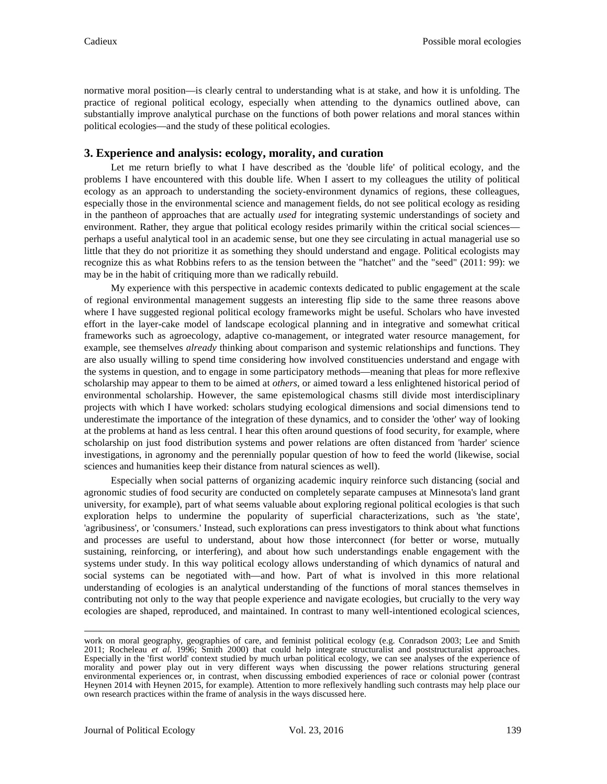normative moral position—is clearly central to understanding what is at stake, and how it is unfolding. The practice of regional political ecology, especially when attending to the dynamics outlined above, can substantially improve analytical purchase on the functions of both power relations and moral stances within political ecologies—and the study of these political ecologies.

# **3. Experience and analysis: ecology, morality, and curation**

Let me return briefly to what I have described as the 'double life' of political ecology, and the problems I have encountered with this double life. When I assert to my colleagues the utility of political ecology as an approach to understanding the society-environment dynamics of regions, these colleagues, especially those in the environmental science and management fields, do not see political ecology as residing in the pantheon of approaches that are actually *used* for integrating systemic understandings of society and environment. Rather, they argue that political ecology resides primarily within the critical social sciences perhaps a useful analytical tool in an academic sense, but one they see circulating in actual managerial use so little that they do not prioritize it as something they should understand and engage. Political ecologists may recognize this as what Robbins refers to as the tension between the "hatchet" and the "seed" (2011: 99): we may be in the habit of critiquing more than we radically rebuild.

My experience with this perspective in academic contexts dedicated to public engagement at the scale of regional environmental management suggests an interesting flip side to the same three reasons above where I have suggested regional political ecology frameworks might be useful. Scholars who have invested effort in the layer-cake model of landscape ecological planning and in integrative and somewhat critical frameworks such as agroecology, adaptive co-management, or integrated water resource management, for example, see themselves *already* thinking about comparison and systemic relationships and functions. They are also usually willing to spend time considering how involved constituencies understand and engage with the systems in question, and to engage in some participatory methods—meaning that pleas for more reflexive scholarship may appear to them to be aimed at *others*, or aimed toward a less enlightened historical period of environmental scholarship. However, the same epistemological chasms still divide most interdisciplinary projects with which I have worked: scholars studying ecological dimensions and social dimensions tend to underestimate the importance of the integration of these dynamics, and to consider the 'other' way of looking at the problems at hand as less central. I hear this often around questions of food security, for example, where scholarship on just food distribution systems and power relations are often distanced from 'harder' science investigations, in agronomy and the perennially popular question of how to feed the world (likewise, social sciences and humanities keep their distance from natural sciences as well).

Especially when social patterns of organizing academic inquiry reinforce such distancing (social and agronomic studies of food security are conducted on completely separate campuses at Minnesota's land grant university, for example), part of what seems valuable about exploring regional political ecologies is that such exploration helps to undermine the popularity of superficial characterizations, such as 'the state', 'agribusiness', or 'consumers.' Instead, such explorations can press investigators to think about what functions and processes are useful to understand, about how those interconnect (for better or worse, mutually sustaining, reinforcing, or interfering), and about how such understandings enable engagement with the systems under study. In this way political ecology allows understanding of which dynamics of natural and social systems can be negotiated with—and how. Part of what is involved in this more relational understanding of ecologies is an analytical understanding of the functions of moral stances themselves in contributing not only to the way that people experience and navigate ecologies, but crucially to the very way ecologies are shaped, reproduced, and maintained. In contrast to many well-intentioned ecological sciences,

work on moral geography, geographies of care, and feminist political ecology (e.g. Conradson 2003; Lee and Smith 2011; Rocheleau *et al.* 1996; Smith 2000) that could help integrate structuralist and poststructuralist approaches. Especially in the 'first world' context studied by much urban political ecology, we can see analyses of the experience of morality and power play out in very different ways when discussing the power relations structuring general environmental experiences or, in contrast, when discussing embodied experiences of race or colonial power (contrast Heynen 2014 with Heynen 2015, for example). Attention to more reflexively handling such contrasts may help place our own research practices within the frame of analysis in the ways discussed here.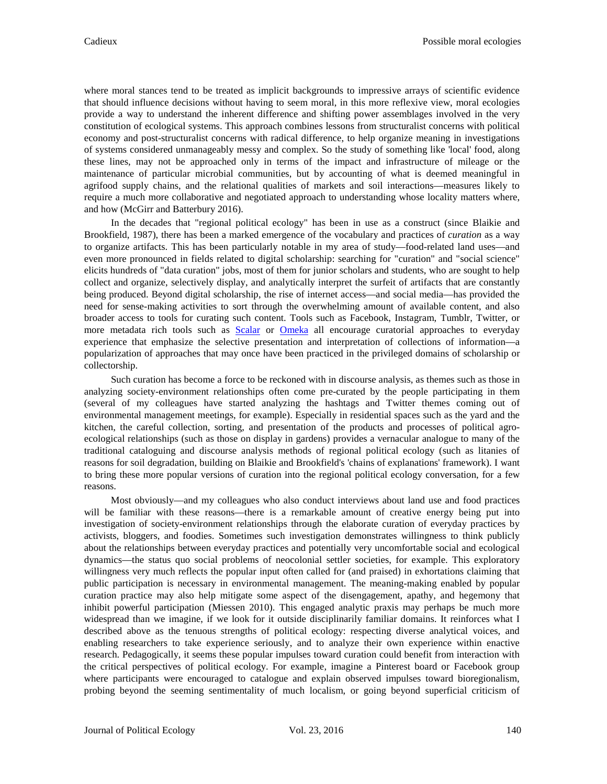where moral stances tend to be treated as implicit backgrounds to impressive arrays of scientific evidence that should influence decisions without having to seem moral, in this more reflexive view, moral ecologies provide a way to understand the inherent difference and shifting power assemblages involved in the very constitution of ecological systems. This approach combines lessons from structuralist concerns with political economy and post-structuralist concerns with radical difference, to help organize meaning in investigations of systems considered unmanageably messy and complex. So the study of something like 'local' food, along these lines, may not be approached only in terms of the impact and infrastructure of mileage or the maintenance of particular microbial communities, but by accounting of what is deemed meaningful in agrifood supply chains, and the relational qualities of markets and soil interactions—measures likely to require a much more collaborative and negotiated approach to understanding whose locality matters where, and how (McGirr and Batterbury 2016).

In the decades that "regional political ecology" has been in use as a construct (since Blaikie and Brookfield, 1987), there has been a marked emergence of the vocabulary and practices of *curation* as a way to organize artifacts. This has been particularly notable in my area of study—food-related land uses—and even more pronounced in fields related to digital scholarship: searching for "curation" and "social science" elicits hundreds of "data curation" jobs, most of them for junior scholars and students, who are sought to help collect and organize, selectively display, and analytically interpret the surfeit of artifacts that are constantly being produced. Beyond digital scholarship, the rise of internet access—and social media—has provided the need for sense-making activities to sort through the overwhelming amount of available content, and also broader access to tools for curating such content. Tools such as Facebook, Instagram, Tumblr, Twitter, or more metadata rich tools such as **[Scalar](http://scalar.usc.edu/scalar/)** or **[Omeka](http://omeka.org/)** all encourage curatorial approaches to everyday experience that emphasize the selective presentation and interpretation of collections of information—a popularization of approaches that may once have been practiced in the privileged domains of scholarship or collectorship.

Such curation has become a force to be reckoned with in discourse analysis, as themes such as those in analyzing society-environment relationships often come pre-curated by the people participating in them (several of my colleagues have started analyzing the hashtags and Twitter themes coming out of environmental management meetings, for example). Especially in residential spaces such as the yard and the kitchen, the careful collection, sorting, and presentation of the products and processes of political agroecological relationships (such as those on display in gardens) provides a vernacular analogue to many of the traditional cataloguing and discourse analysis methods of regional political ecology (such as litanies of reasons for soil degradation, building on Blaikie and Brookfield's 'chains of explanations' framework). I want to bring these more popular versions of curation into the regional political ecology conversation, for a few reasons.

Most obviously—and my colleagues who also conduct interviews about land use and food practices will be familiar with these reasons—there is a remarkable amount of creative energy being put into investigation of society-environment relationships through the elaborate curation of everyday practices by activists, bloggers, and foodies. Sometimes such investigation demonstrates willingness to think publicly about the relationships between everyday practices and potentially very uncomfortable social and ecological dynamics—the status quo social problems of neocolonial settler societies, for example. This exploratory willingness very much reflects the popular input often called for (and praised) in exhortations claiming that public participation is necessary in environmental management. The meaning-making enabled by popular curation practice may also help mitigate some aspect of the disengagement, apathy, and hegemony that inhibit powerful participation (Miessen 2010). This engaged analytic praxis may perhaps be much more widespread than we imagine, if we look for it outside disciplinarily familiar domains. It reinforces what I described above as the tenuous strengths of political ecology: respecting diverse analytical voices, and enabling researchers to take experience seriously, and to analyze their own experience within enactive research. Pedagogically, it seems these popular impulses toward curation could benefit from interaction with the critical perspectives of political ecology. For example, imagine a Pinterest board or Facebook group where participants were encouraged to catalogue and explain observed impulses toward bioregionalism, probing beyond the seeming sentimentality of much localism, or going beyond superficial criticism of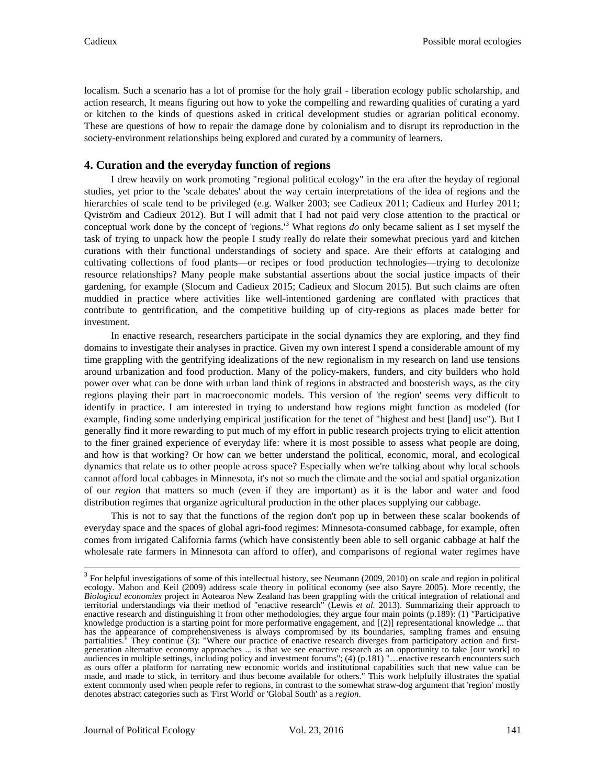localism. Such a scenario has a lot of promise for the holy grail - liberation ecology public scholarship, and action research, It means figuring out how to yoke the compelling and rewarding qualities of curating a yard or kitchen to the kinds of questions asked in critical development studies or agrarian political economy. These are questions of how to repair the damage done by colonialism and to disrupt its reproduction in the society-environment relationships being explored and curated by a community of learners.

## **4. Curation and the everyday function of regions**

I drew heavily on work promoting "regional political ecology" in the era after the heyday of regional studies, yet prior to the 'scale debates' about the way certain interpretations of the idea of regions and the hierarchies of scale tend to be privileged (e.g. Walker 2003; see Cadieux 2011; Cadieux and Hurley 2011; Qviström and Cadieux 2012). But I will admit that I had not paid very close attention to the practical or conceptual work done by the concept of 'regions.' [3](#page-7-0) What regions *do* only became salient as I set myself the task of trying to unpack how the people I study really do relate their somewhat precious yard and kitchen curations with their functional understandings of society and space. Are their efforts at cataloging and cultivating collections of food plants—or recipes or food production technologies—trying to decolonize resource relationships? Many people make substantial assertions about the social justice impacts of their gardening, for example (Slocum and Cadieux 2015; Cadieux and Slocum 2015). But such claims are often muddied in practice where activities like well-intentioned gardening are conflated with practices that contribute to gentrification, and the competitive building up of city-regions as places made better for investment.

In enactive research, researchers participate in the social dynamics they are exploring, and they find domains to investigate their analyses in practice. Given my own interest I spend a considerable amount of my time grappling with the gentrifying idealizations of the new regionalism in my research on land use tensions around urbanization and food production. Many of the policy-makers, funders, and city builders who hold power over what can be done with urban land think of regions in abstracted and boosterish ways, as the city regions playing their part in macroeconomic models. This version of 'the region' seems very difficult to identify in practice. I am interested in trying to understand how regions might function as modeled (for example, finding some underlying empirical justification for the tenet of "highest and best [land] use"). But I generally find it more rewarding to put much of my effort in public research projects trying to elicit attention to the finer grained experience of everyday life: where it is most possible to assess what people are doing, and how is that working? Or how can we better understand the political, economic, moral, and ecological dynamics that relate us to other people across space? Especially when we're talking about why local schools cannot afford local cabbages in Minnesota, it's not so much the climate and the social and spatial organization of our *region* that matters so much (even if they are important) as it is the labor and water and food distribution regimes that organize agricultural production in the other places supplying our cabbage.

This is not to say that the functions of the region don't pop up in between these scalar bookends of everyday space and the spaces of global agri-food regimes: Minnesota-consumed cabbage, for example, often comes from irrigated California farms (which have consistently been able to sell organic cabbage at half the wholesale rate farmers in Minnesota can afford to offer), and comparisons of regional water regimes have

<span id="page-7-0"></span><sup>&</sup>lt;sup>3</sup> For helpful investigations of some of this intellectual history, see Neumann (2009, 2010) on scale and region in political ecology. Mahon and Keil (2009) address scale theory in political economy (see also Sayre 2005). More recently, the *Biological economies* project in Aotearoa New Zealand has been grappling with the critical integration of relational and territorial understandings via their method of "enactive research" (Lewis *et al.* 2013). Summarizing their approach to enactive research and distinguishing it from other methodologies, they argue four main points (p.189): (1) "Participative knowledge production is a starting point for more performative engagement, and [(2)] representational knowledge ... that has the appearance of comprehensiveness is always compromised by its boundaries, sampling frames and ensuing partialities." They continue (3): "Where our practice of enactive research diverges from participatory action and firstgeneration alternative economy approaches ... is that we see enactive research as an opportunity to take [our work] to audiences in multiple settings, including policy and investment forums"; (4) (p.181) "…enactive research encounters such as ours offer a platform for narrating new economic worlds and institutional capabilities such that new value can be made, and made to stick, in territory and thus become available for others." This work helpfully illustrates the spatial extent commonly used when people refer to regions, in contrast to the somewhat straw-dog argument that 'region' mostly denotes abstract categories such as 'First World' or 'Global South' as a *region*.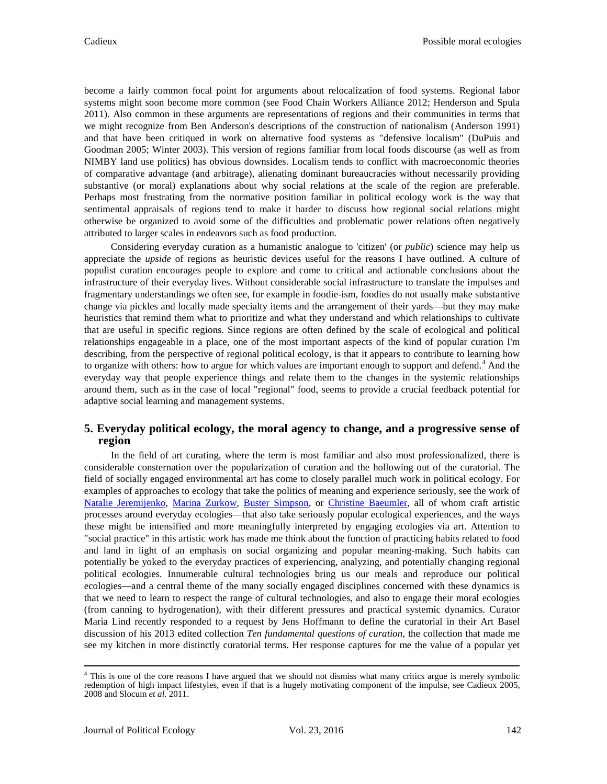become a fairly common focal point for arguments about relocalization of food systems. Regional labor systems might soon become more common (see Food Chain Workers Alliance 2012; Henderson and Spula 2011). Also common in these arguments are representations of regions and their communities in terms that we might recognize from Ben Anderson's descriptions of the construction of nationalism (Anderson 1991) and that have been critiqued in work on alternative food systems as "defensive localism" (DuPuis and Goodman 2005; Winter 2003). This version of regions familiar from local foods discourse (as well as from NIMBY land use politics) has obvious downsides. Localism tends to conflict with macroeconomic theories of comparative advantage (and arbitrage), alienating dominant bureaucracies without necessarily providing substantive (or moral) explanations about why social relations at the scale of the region are preferable. Perhaps most frustrating from the normative position familiar in political ecology work is the way that sentimental appraisals of regions tend to make it harder to discuss how regional social relations might otherwise be organized to avoid some of the difficulties and problematic power relations often negatively attributed to larger scales in endeavors such as food production.

Considering everyday curation as a humanistic analogue to 'citizen' (or *public*) science may help us appreciate the *upside* of regions as heuristic devices useful for the reasons I have outlined. A culture of populist curation encourages people to explore and come to critical and actionable conclusions about the infrastructure of their everyday lives. Without considerable social infrastructure to translate the impulses and fragmentary understandings we often see, for example in foodie-ism, foodies do not usually make substantive change via pickles and locally made specialty items and the arrangement of their yards—but they may make heuristics that remind them what to prioritize and what they understand and which relationships to cultivate that are useful in specific regions. Since regions are often defined by the scale of ecological and political relationships engageable in a place, one of the most important aspects of the kind of popular curation I'm describing, from the perspective of regional political ecology, is that it appears to contribute to learning how to organize with others: how to argue for which values are important enough to support and defend.<sup>[4](#page-8-0)</sup> And the everyday way that people experience things and relate them to the changes in the systemic relationships around them, such as in the case of local "regional" food, seems to provide a crucial feedback potential for adaptive social learning and management systems.

# **5. Everyday political ecology, the moral agency to change, and a progressive sense of region**

In the field of art curating, where the term is most familiar and also most professionalized, there is considerable consternation over the popularization of curation and the hollowing out of the curatorial. The field of socially engaged environmental art has come to closely parallel much work in political ecology. For examples of approaches to ecology that take the politics of meaning and experience seriously, see the work of [Natalie Jeremijenko,](http://www.nataliejeremijenko.com/) [Marina Zurkow,](http://o-matic.com/play/index.html) Buster [Simpson,](http://fryemuseum.org/buster_map) or [Christine Baeumler,](http://www.quodlibetica.com/from-project-to-practice-imagining-communities/) all of whom craft artistic processes around everyday ecologies—that also take seriously popular ecological experiences, and the ways these might be intensified and more meaningfully interpreted by engaging ecologies via art. Attention to "social practice" in this artistic work has made me think about the function of practicing habits related to food and land in light of an emphasis on social organizing and popular meaning-making. Such habits can potentially be yoked to the everyday practices of experiencing, analyzing, and potentially changing regional political ecologies. Innumerable cultural technologies bring us our meals and reproduce our political ecologies—and a central theme of the many socially engaged disciplines concerned with these dynamics is that we need to learn to respect the range of cultural technologies, and also to engage their moral ecologies (from canning to hydrogenation), with their different pressures and practical systemic dynamics. Curator Maria Lind recently responded to a request by Jens Hoffmann to define the curatorial in their Art Basel discussion of his 2013 edited collection *Ten fundamental questions of curation*, the collection that made me see my kitchen in more distinctly curatorial terms. Her response captures for me the value of a popular yet

<span id="page-8-0"></span><sup>&</sup>lt;sup>4</sup> This is one of the core reasons I have argued that we should not dismiss what many critics argue is merely symbolic redemption of high impact lifestyles, even if that is a hugely motivating component of the impulse, see Cadieux 2005, 2008 and Slocum *et al.* 2011.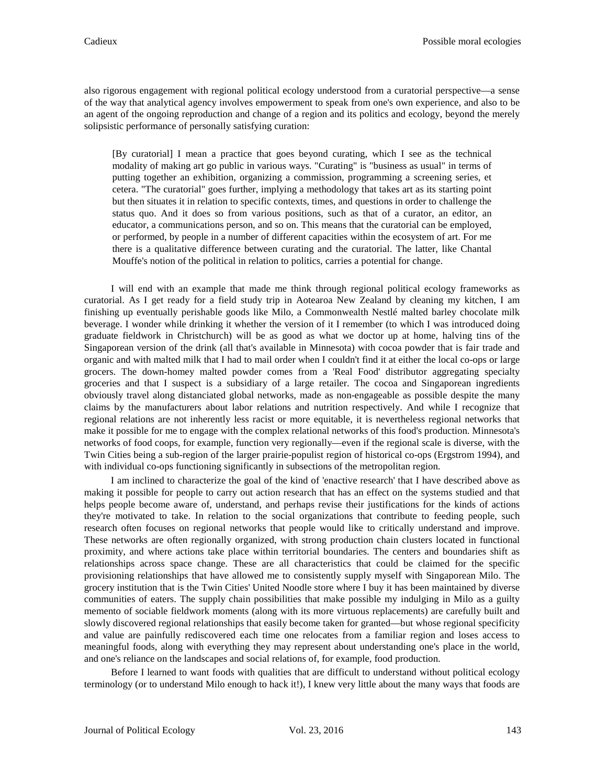also rigorous engagement with regional political ecology understood from a curatorial perspective—a sense of the way that analytical agency involves empowerment to speak from one's own experience, and also to be an agent of the ongoing reproduction and change of a region and its politics and ecology, beyond the merely solipsistic performance of personally satisfying curation:

[By curatorial] I mean a practice that goes beyond curating, which I see as the technical modality of making art go public in various ways. "Curating" is "business as usual" in terms of putting together an exhibition, organizing a commission, programming a screening series, et cetera. "The curatorial" goes further, implying a methodology that takes art as its starting point but then situates it in relation to specific contexts, times, and questions in order to challenge the status quo. And it does so from various positions, such as that of a curator, an editor, an educator, a communications person, and so on. This means that the curatorial can be employed, or performed, by people in a number of different capacities within the ecosystem of art. For me there is a qualitative difference between curating and the curatorial. The latter, like Chantal Mouffe's notion of the political in relation to politics, carries a potential for change.

I will end with an example that made me think through regional political ecology frameworks as curatorial. As I get ready for a field study trip in Aotearoa New Zealand by cleaning my kitchen, I am finishing up eventually perishable goods like Milo, a Commonwealth Nestlé malted barley chocolate milk beverage. I wonder while drinking it whether the version of it I remember (to which I was introduced doing graduate fieldwork in Christchurch) will be as good as what we doctor up at home, halving tins of the Singaporean version of the drink (all that's available in Minnesota) with cocoa powder that is fair trade and organic and with malted milk that I had to mail order when I couldn't find it at either the local co-ops or large grocers. The down-homey malted powder comes from a 'Real Food' distributor aggregating specialty groceries and that I suspect is a subsidiary of a large retailer. The cocoa and Singaporean ingredients obviously travel along distanciated global networks, made as non-engageable as possible despite the many claims by the manufacturers about labor relations and nutrition respectively. And while I recognize that regional relations are not inherently less racist or more equitable, it is nevertheless regional networks that make it possible for me to engage with the complex relational networks of this food's production. Minnesota's networks of food coops, for example, function very regionally—even if the regional scale is diverse, with the Twin Cities being a sub-region of the larger prairie-populist region of historical co-ops (Ergstrom 1994), and with individual co-ops functioning significantly in subsections of the metropolitan region.

I am inclined to characterize the goal of the kind of 'enactive research' that I have described above as making it possible for people to carry out action research that has an effect on the systems studied and that helps people become aware of, understand, and perhaps revise their justifications for the kinds of actions they're motivated to take. In relation to the social organizations that contribute to feeding people, such research often focuses on regional networks that people would like to critically understand and improve. These networks are often regionally organized, with strong production chain clusters located in functional proximity, and where actions take place within territorial boundaries. The centers and boundaries shift as relationships across space change. These are all characteristics that could be claimed for the specific provisioning relationships that have allowed me to consistently supply myself with Singaporean Milo. The grocery institution that is the Twin Cities' United Noodle store where I buy it has been maintained by diverse communities of eaters. The supply chain possibilities that make possible my indulging in Milo as a guilty memento of sociable fieldwork moments (along with its more virtuous replacements) are carefully built and slowly discovered regional relationships that easily become taken for granted—but whose regional specificity and value are painfully rediscovered each time one relocates from a familiar region and loses access to meaningful foods, along with everything they may represent about understanding one's place in the world, and one's reliance on the landscapes and social relations of, for example, food production.

Before I learned to want foods with qualities that are difficult to understand without political ecology terminology (or to understand Milo enough to hack it!), I knew very little about the many ways that foods are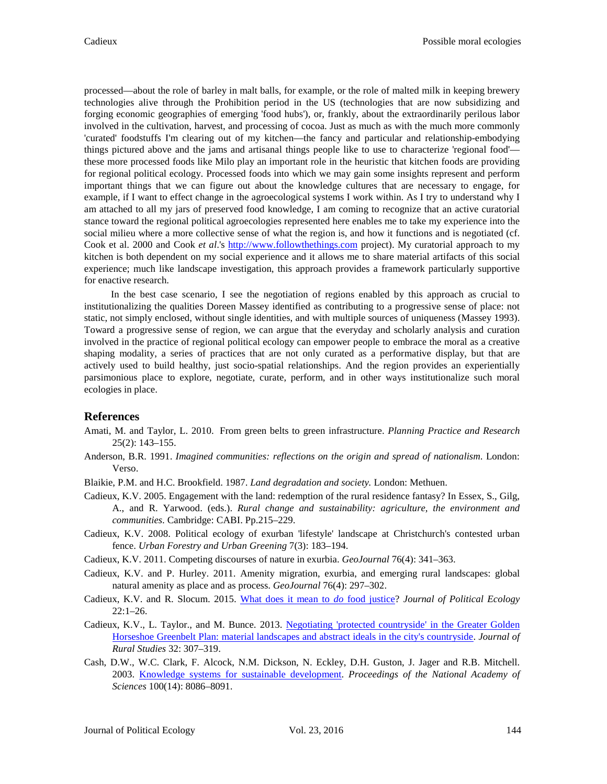processed—about the role of barley in malt balls, for example, or the role of malted milk in keeping brewery technologies alive through the Prohibition period in the US (technologies that are now subsidizing and forging economic geographies of emerging 'food hubs'), or, frankly, about the extraordinarily perilous labor involved in the cultivation, harvest, and processing of cocoa. Just as much as with the much more commonly 'curated' foodstuffs I'm clearing out of my kitchen—the fancy and particular and relationship-embodying things pictured above and the jams and artisanal things people like to use to characterize 'regional food' these more processed foods like Milo play an important role in the heuristic that kitchen foods are providing for regional political ecology. Processed foods into which we may gain some insights represent and perform important things that we can figure out about the knowledge cultures that are necessary to engage, for example, if I want to effect change in the agroecological systems I work within. As I try to understand why I am attached to all my jars of preserved food knowledge, I am coming to recognize that an active curatorial stance toward the regional political agroecologies represented here enables me to take my experience into the social milieu where a more collective sense of what the region is, and how it functions and is negotiated (cf. Cook et al. 2000 and Cook *et al*.'s [http://www.followthethings.com](http://www.followthethings.com/) project). My curatorial approach to my kitchen is both dependent on my social experience and it allows me to share material artifacts of this social experience; much like landscape investigation, this approach provides a framework particularly supportive for enactive research.

In the best case scenario, I see the negotiation of regions enabled by this approach as crucial to institutionalizing the qualities Doreen Massey identified as contributing to a progressive sense of place: not static, not simply enclosed, without single identities, and with multiple sources of uniqueness (Massey 1993). Toward a progressive sense of region, we can argue that the everyday and scholarly analysis and curation involved in the practice of regional political ecology can empower people to embrace the moral as a creative shaping modality, a series of practices that are not only curated as a performative display, but that are actively used to build healthy, just socio-spatial relationships. And the region provides an experientially parsimonious place to explore, negotiate, curate, perform, and in other ways institutionalize such moral ecologies in place.

## **References**

- Amati, M. and Taylor, L. 2010. From green belts to green infrastructure. *Planning Practice and Research* 25(2): 143–155.
- Anderson, B.R. 1991. *Imagined communities: reflections on the origin and spread of nationalism*. London: Verso.
- Blaikie, P.M. and H.C. Brookfield. 1987. *Land degradation and society.* London: Methuen.
- Cadieux, K.V. 2005. Engagement with the land: redemption of the rural residence fantasy? In Essex, S., Gilg, A., and R. Yarwood. (eds.). *Rural change and sustainability: agriculture, the environment and communities*. Cambridge: CABI. Pp.215–229.
- Cadieux, K.V. 2008. Political ecology of exurban 'lifestyle' landscape at Christchurch's contested urban fence. *Urban Forestry and Urban Greening* 7(3): 183–194.
- Cadieux, K.V. 2011. Competing discourses of nature in exurbia. *GeoJournal* 76(4): 341–363.
- Cadieux, K.V. and P. Hurley. 2011. Amenity migration, exurbia, and emerging rural landscapes: global natural amenity as place and as process. *GeoJournal* 76(4): 297–302.
- Cadieux, K.V. and R. Slocum. 2015. [What does it mean to](http://jpe.library.arizona.edu/volume_22/Cadieuxslocum.pdf) *do* food justice? *Journal of Political Ecology*  22:1–26.
- Cadieux, K.V., L. Taylor., and M. Bunce. 2013. [Negotiating 'protected countryside'](http://digitalcommons.hamline.edu/cgi/viewcontent.cgi?article=1002&context=cla_faculty) in the Greater Golden [Horseshoe Greenbelt Plan: material landscapes and abstract ideals in the city's countryside.](http://digitalcommons.hamline.edu/cgi/viewcontent.cgi?article=1002&context=cla_faculty) *Journal of Rural Studies* 32: 307–319.
- Cash, D.W., W.C. Clark, F. Alcock, N.M. Dickson, N. Eckley, D.H. Guston, J. Jager and R.B. Mitchell. 2003. [Knowledge systems for sustainable development.](http://www.pnas.org/content/100/14/8086.full) *Proceedings of the National Academy of Sciences* 100(14): 8086–8091.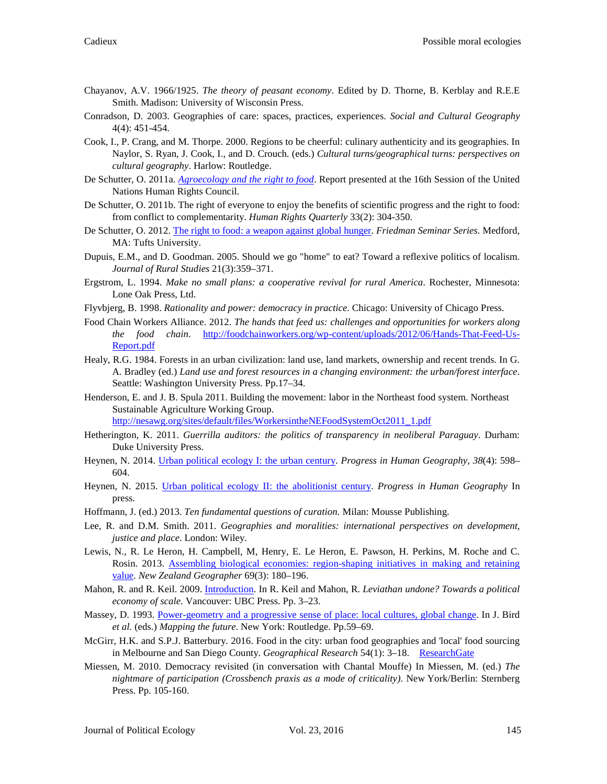- Chayanov, A.V. 1966/1925. *The theory of peasant economy*. Edited by D. Thorne, B. Kerblay and R.E.E Smith. Madison: University of Wisconsin Press.
- Conradson, D. 2003. Geographies of care: spaces, practices, experiences. *Social and Cultural Geography* 4(4): 451-454.
- Cook, I., P. Crang, and M. Thorpe. 2000. Regions to be cheerful: culinary authenticity and its geographies. In Naylor, S. Ryan, J. Cook, I., and D. Crouch. (eds.) *Cultural turns/geographical turns: perspectives on cultural geography*. Harlow: Routledge.
- De Schutter, O. 2011a. *[Agroecology and the right to food](http://www.srfood.org/en/report-agroecology-and-the-right-to-food)*. Report presented at the 16th Session of the United Nations Human Rights Council.
- De Schutter, O. 2011b. The right of everyone to enjoy the benefits of scientific progress and the right to food: from conflict to complementarity. *Human Rights Quarterly* 33(2): 304-350.
- De Schutter, O. 2012. [The right to food: a weapon against global hunger.](https://www.youtube.com/watch?v=NJtol_H8TEI) *Friedman Seminar Series*. Medford, MA: Tufts University.
- Dupuis, E.M., and D. Goodman. 2005. Should we go "home" to eat? Toward a reflexive politics of localism. *Journal of Rural Studies* 21(3):359–371.
- Ergstrom, L. 1994. *Make no small plans: a cooperative revival for rural America*. Rochester, Minnesota: Lone Oak Press, Ltd.
- Flyvbjerg, B. 1998. *Rationality and power: democracy in practice*. Chicago: University of Chicago Press.
- Food Chain Workers Alliance. 2012. *The hands that feed us: challenges and opportunities for workers along the food chain*. [http://foodchainworkers.org/wp-content/uploads/2012/06/Hands-That-Feed-Us-](http://foodchainworkers.org/wp-content/uploads/2012/06/Hands-That-Feed-Us-Report.pdf)[Report.pdf](http://foodchainworkers.org/wp-content/uploads/2012/06/Hands-That-Feed-Us-Report.pdf)
- Healy, R.G. 1984. Forests in an urban civilization: land use, land markets, ownership and recent trends. In G. A. Bradley (ed.) *Land use and forest resources in a changing environment: the urban/forest interface*. Seattle: Washington University Press. Pp.17–34.
- Henderson, E. and J. B. Spula 2011. Building the movement: labor in the Northeast food system. Northeast Sustainable Agriculture Working Group.

[http://nesawg.org/sites/default/files/WorkersintheNEFoodSystemOct2011\\_1.pdf](http://nesawg.org/sites/default/files/WorkersintheNEFoodSystemOct2011_1.pdf)

- Hetherington, K. 2011. *Guerrilla auditors: the politics of transparency in neoliberal Paraguay*. Durham: Duke University Press.
- Heynen, N. 2014. [Urban political ecology I: the urban century.](https://nikheynen.files.wordpress.com/2014/09/heynen_upe1_pihg.pdf) *Progress in Human Geography*, *38*(4): 598– 604.
- Heynen, N. 2015. [Urban political ecology II: the abolitionist century.](https://nikheynen.files.wordpress.com/2016/01/heynen_upe2_pihg.pdf) *Progress in Human Geography* In press.
- Hoffmann, J. (ed.) 2013. *Ten fundamental questions of curation.* Milan: Mousse Publishing.
- Lee, R. and D.M. Smith. 2011. *Geographies and moralities: international perspectives on development, justice and place*. London: Wiley.
- Lewis, N., R. Le Heron, H. Campbell, M, Henry, E. Le Heron, E. Pawson, H. Perkins, M. Roche and C. Rosin. 2013. [Assembling biological economies: region-shaping initiatives in making and retaining](http://doi.org/10.1111/nzg.12031)  [value.](http://doi.org/10.1111/nzg.12031) *New Zealand Geographer* 69(3): 180–196.
- Mahon, R. and R. Keil. 2009[. Introduction.](http://www.ubcpress.ca/books/pdf/chapters/2009/LeviathanUndone.pdf) In R. Keil and Mahon, R. *Leviathan undone? Towards a political economy of scale*. Vancouver: UBC Press. Pp. 3–23.
- Massey, D. 1993. [Power-geometry and a progressive sense of place: local cultures, global change.](http://www.dourish.com/classes/readings/Massey-PowerGeometries.pdf) In J. Bird *et al.* (eds.) *Mapping the future*. New York: Routledge. Pp.59–69.
- McGirr, H.K. and S.P.J. Batterbury. 2016. Food in the city: urban food geographies and 'local' food sourcing in Melbourne and San Diego County. *Geographical Research* 54(1): 3–18. [ResearchGate](https://www.researchgate.net/publication/283951829_Food_in_the_City_Urban_Food_Geographies_and_%27Local%27_Food_Sourcing_in_Melbourne_and_San_Diego_County)
- Miessen, M. 2010. Democracy revisited (in conversation with Chantal Mouffe) In Miessen, M. (ed.) *The nightmare of participation (Crossbench praxis as a mode of criticality)*. New York/Berlin: Sternberg Press. Pp. 105-160.